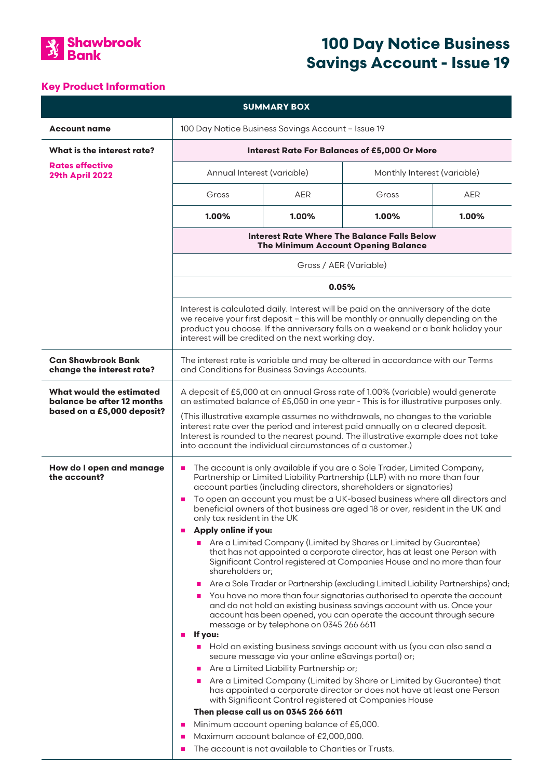

# **100 Day Notice Business Savings Account - Issue 19**

## **Key Product Information**

| <b>SUMMARY BOX</b>                                                                                                                                                                                                                                                                                                                                                                                                                                                                                                                                                                                                                                                                                                                                                                                                                                                                                                                                                                                                                                                                                                                                                                                                                                                                                                                                                                                                                                                                                                                                                                                                     |            |                             |                                                                                                |
|------------------------------------------------------------------------------------------------------------------------------------------------------------------------------------------------------------------------------------------------------------------------------------------------------------------------------------------------------------------------------------------------------------------------------------------------------------------------------------------------------------------------------------------------------------------------------------------------------------------------------------------------------------------------------------------------------------------------------------------------------------------------------------------------------------------------------------------------------------------------------------------------------------------------------------------------------------------------------------------------------------------------------------------------------------------------------------------------------------------------------------------------------------------------------------------------------------------------------------------------------------------------------------------------------------------------------------------------------------------------------------------------------------------------------------------------------------------------------------------------------------------------------------------------------------------------------------------------------------------------|------------|-----------------------------|------------------------------------------------------------------------------------------------|
| 100 Day Notice Business Savings Account - Issue 19                                                                                                                                                                                                                                                                                                                                                                                                                                                                                                                                                                                                                                                                                                                                                                                                                                                                                                                                                                                                                                                                                                                                                                                                                                                                                                                                                                                                                                                                                                                                                                     |            |                             |                                                                                                |
| <b>Interest Rate For Balances of £5,000 Or More</b>                                                                                                                                                                                                                                                                                                                                                                                                                                                                                                                                                                                                                                                                                                                                                                                                                                                                                                                                                                                                                                                                                                                                                                                                                                                                                                                                                                                                                                                                                                                                                                    |            |                             |                                                                                                |
| Annual Interest (variable)                                                                                                                                                                                                                                                                                                                                                                                                                                                                                                                                                                                                                                                                                                                                                                                                                                                                                                                                                                                                                                                                                                                                                                                                                                                                                                                                                                                                                                                                                                                                                                                             |            | Monthly Interest (variable) |                                                                                                |
| Gross                                                                                                                                                                                                                                                                                                                                                                                                                                                                                                                                                                                                                                                                                                                                                                                                                                                                                                                                                                                                                                                                                                                                                                                                                                                                                                                                                                                                                                                                                                                                                                                                                  | <b>AER</b> | Gross                       | <b>AER</b>                                                                                     |
| 1.00%                                                                                                                                                                                                                                                                                                                                                                                                                                                                                                                                                                                                                                                                                                                                                                                                                                                                                                                                                                                                                                                                                                                                                                                                                                                                                                                                                                                                                                                                                                                                                                                                                  | $1.00\%$   | 1.00%                       | 1.00%                                                                                          |
| Interest Rate Where The Balance Falls Below<br><b>The Minimum Account Opening Balance</b><br>Gross / AER (Variable)<br>0.05%<br>Interest is calculated daily. Interest will be paid on the anniversary of the date<br>we receive your first deposit - this will be monthly or annually depending on the<br>product you choose. If the anniversary falls on a weekend or a bank holiday your<br>interest will be credited on the next working day.                                                                                                                                                                                                                                                                                                                                                                                                                                                                                                                                                                                                                                                                                                                                                                                                                                                                                                                                                                                                                                                                                                                                                                      |            |                             |                                                                                                |
|                                                                                                                                                                                                                                                                                                                                                                                                                                                                                                                                                                                                                                                                                                                                                                                                                                                                                                                                                                                                                                                                                                                                                                                                                                                                                                                                                                                                                                                                                                                                                                                                                        |            |                             |                                                                                                |
|                                                                                                                                                                                                                                                                                                                                                                                                                                                                                                                                                                                                                                                                                                                                                                                                                                                                                                                                                                                                                                                                                                                                                                                                                                                                                                                                                                                                                                                                                                                                                                                                                        |            |                             |                                                                                                |
|                                                                                                                                                                                                                                                                                                                                                                                                                                                                                                                                                                                                                                                                                                                                                                                                                                                                                                                                                                                                                                                                                                                                                                                                                                                                                                                                                                                                                                                                                                                                                                                                                        |            |                             |                                                                                                |
| The interest rate is variable and may be altered in accordance with our Terms<br>and Conditions for Business Savings Accounts.                                                                                                                                                                                                                                                                                                                                                                                                                                                                                                                                                                                                                                                                                                                                                                                                                                                                                                                                                                                                                                                                                                                                                                                                                                                                                                                                                                                                                                                                                         |            |                             |                                                                                                |
| A deposit of £5,000 at an annual Gross rate of 1.00% (variable) would generate<br>an estimated balance of £5,050 in one year - This is for illustrative purposes only.<br>(This illustrative example assumes no withdrawals, no changes to the variable<br>interest rate over the period and interest paid annually on a cleared deposit.<br>Interest is rounded to the nearest pound. The illustrative example does not take<br>into account the individual circumstances of a customer.)                                                                                                                                                                                                                                                                                                                                                                                                                                                                                                                                                                                                                                                                                                                                                                                                                                                                                                                                                                                                                                                                                                                             |            |                             |                                                                                                |
| The account is only available if you are a Sole Trader, Limited Company,<br>п<br>Partnership or Limited Liability Partnership (LLP) with no more than four<br>account parties (including directors, shareholders or signatories)<br>To open an account you must be a UK-based business where all directors and<br>п<br>beneficial owners of that business are aged 18 or over, resident in the UK and<br>only tax resident in the UK<br>Apply online if you:<br>п<br>Are a Limited Company (Limited by Shares or Limited by Guarantee)<br>that has not appointed a corporate director, has at least one Person with<br>Significant Control registered at Companies House and no more than four<br>shareholders or;<br>Are a Sole Trader or Partnership (excluding Limited Liability Partnerships) and;<br>×<br>You have no more than four signatories authorised to operate the account<br>п<br>and do not hold an existing business savings account with us. Once your<br>account has been opened, you can operate the account through secure<br>message or by telephone on 0345 266 6611<br>If you:<br>п<br>Hold an existing business savings account with us (you can also send a<br>ш<br>secure message via your online eSavings portal) or;<br>Are a Limited Liability Partnership or;<br>$\blacksquare$<br>Are a Limited Company (Limited by Share or Limited by Guarantee) that<br>has appointed a corporate director or does not have at least one Person<br>with Significant Control registered at Companies House<br>Then please call us on 0345 266 6611<br>Minimum account opening balance of £5,000.<br>п |            |                             |                                                                                                |
|                                                                                                                                                                                                                                                                                                                                                                                                                                                                                                                                                                                                                                                                                                                                                                                                                                                                                                                                                                                                                                                                                                                                                                                                                                                                                                                                                                                                                                                                                                                                                                                                                        | п<br>п     |                             | Maximum account balance of £2,000,000.<br>The account is not available to Charities or Trusts. |